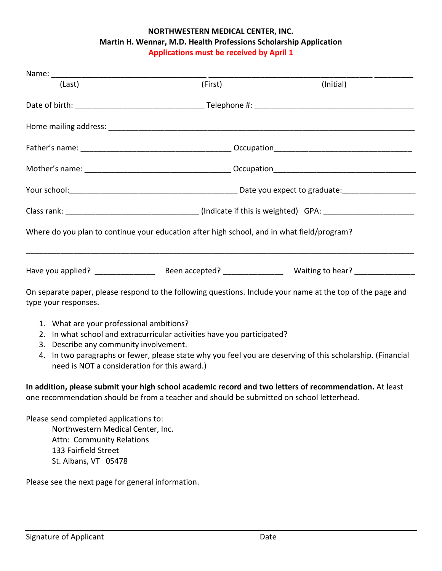## **NORTHWESTERN MEDICAL CENTER, INC. Martin H. Wennar, M.D. Health Professions Scholarship Application Applications must be received by April 1**

| Name: when the contract of the contract of the contract of the contract of the contract of the contract of the contract of the contract of the contract of the contract of the contract of the contract of the contract of the |                                                                                                            |           |  |
|--------------------------------------------------------------------------------------------------------------------------------------------------------------------------------------------------------------------------------|------------------------------------------------------------------------------------------------------------|-----------|--|
| (Last)                                                                                                                                                                                                                         | (First)                                                                                                    | (Initial) |  |
|                                                                                                                                                                                                                                |                                                                                                            |           |  |
|                                                                                                                                                                                                                                |                                                                                                            |           |  |
|                                                                                                                                                                                                                                |                                                                                                            |           |  |
|                                                                                                                                                                                                                                |                                                                                                            |           |  |
|                                                                                                                                                                                                                                |                                                                                                            |           |  |
|                                                                                                                                                                                                                                |                                                                                                            |           |  |
|                                                                                                                                                                                                                                | Where do you plan to continue your education after high school, and in what field/program?                 |           |  |
|                                                                                                                                                                                                                                |                                                                                                            |           |  |
| type your responses.                                                                                                                                                                                                           | On separate paper, please respond to the following questions. Include your name at the top of the page and |           |  |
| 1. What are your professional ambitions?                                                                                                                                                                                       | 2. In what school and extracurricular activities have you participated?                                    |           |  |

- 3. Describe any community involvement.
- 4. In two paragraphs or fewer, please state why you feel you are deserving of this scholarship. (Financial need is NOT a consideration for this award.)

**In addition, please submit your high school academic record and two letters of recommendation.** At least one recommendation should be from a teacher and should be submitted on school letterhead.

Please send completed applications to: Northwestern Medical Center, Inc. Attn: Community Relations 133 Fairfield Street St. Albans, VT 05478

Please see the next page for general information.